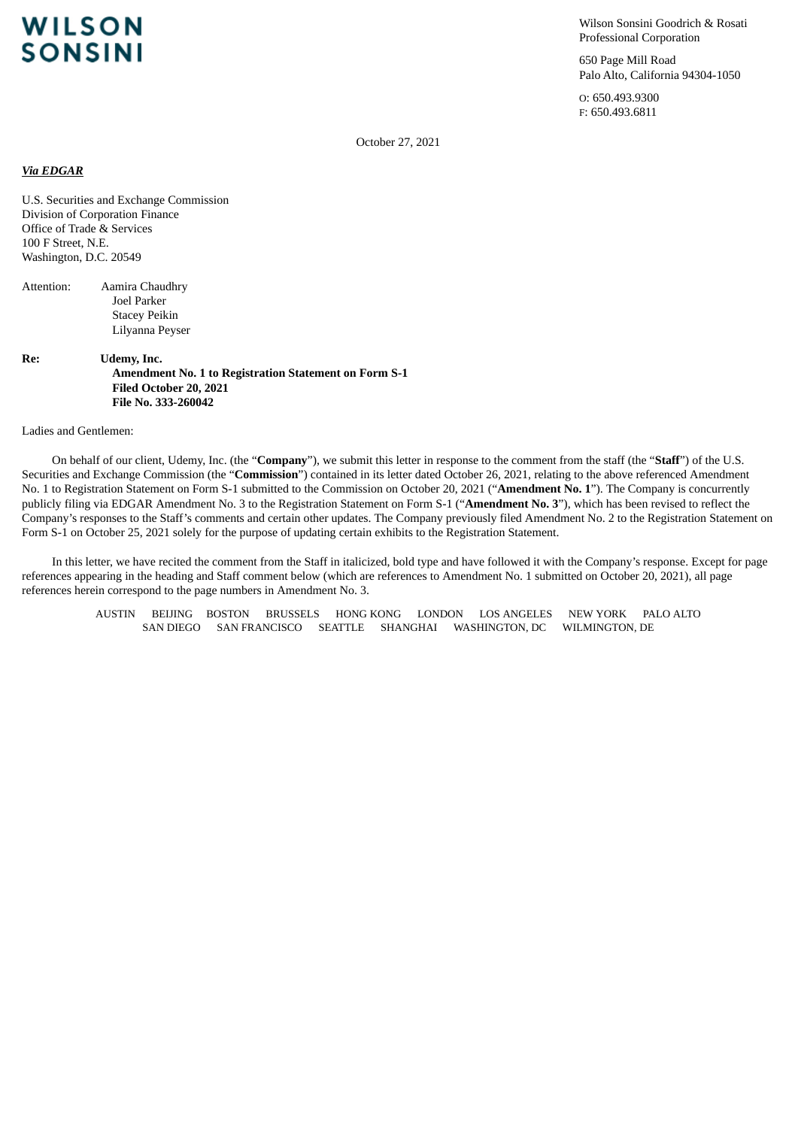# **WILSON SONSINI**

Wilson Sonsini Goodrich & Rosati Professional Corporation

650 Page Mill Road Palo Alto, California 94304-1050

O: 650.493.9300 F: 650.493.6811

October 27, 2021

### *Via EDGAR*

U.S. Securities and Exchange Commission Division of Corporation Finance Office of Trade & Services 100 F Street, N.E. Washington, D.C. 20549

Attention: Aamira Chaudhry Joel Parker Stacey Peikin Lilyanna Peyser

**Re: Udemy, Inc. Amendment No. 1 to Registration Statement on Form S-1 Filed October 20, 2021 File No. 333-260042**

Ladies and Gentlemen:

On behalf of our client, Udemy, Inc. (the "**Company**"), we submit this letter in response to the comment from the staff (the "**Staff**") of the U.S. Securities and Exchange Commission (the "**Commission**") contained in its letter dated October 26, 2021, relating to the above referenced Amendment No. 1 to Registration Statement on Form S-1 submitted to the Commission on October 20, 2021 ("**Amendment No. 1**"). The Company is concurrently publicly filing via EDGAR Amendment No. 3 to the Registration Statement on Form S-1 ("**Amendment No. 3**"), which has been revised to reflect the Company's responses to the Staff's comments and certain other updates. The Company previously filed Amendment No. 2 to the Registration Statement on Form S-1 on October 25, 2021 solely for the purpose of updating certain exhibits to the Registration Statement.

In this letter, we have recited the comment from the Staff in italicized, bold type and have followed it with the Company's response. Except for page references appearing in the heading and Staff comment below (which are references to Amendment No. 1 submitted on October 20, 2021), all page references herein correspond to the page numbers in Amendment No. 3.

AUSTIN BEIJING BOSTON BRUSSELS HONG KONG LONDON LOS ANGELES NEW YORK PALO ALTO SAN DIEGO SAN FRANCISCO SEATTLE SHANGHAI WASHINGTON, DC WILMINGTON, DE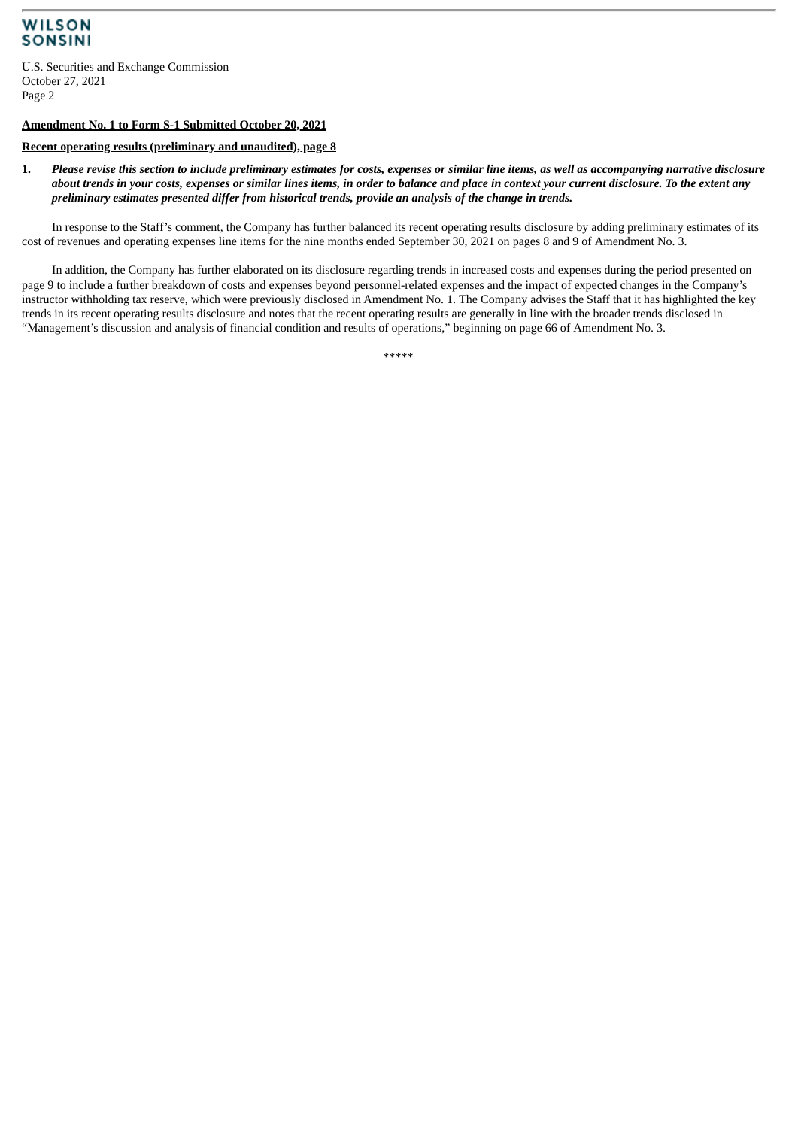## **WILSON SONSINI**

U.S. Securities and Exchange Commission October 27, 2021 Page 2

### **Amendment No. 1 to Form S-1 Submitted October 20, 2021**

#### **Recent operating results (preliminary and unaudited), page 8**

1. Please revise this section to include preliminary estimates for costs, expenses or similar line items, as well as accompanying narrative disclosure about trends in your costs, expenses or similar lines items, in order to balance and place in context your current disclosure. To the extent any *preliminary estimates presented differ from historical trends, provide an analysis of the change in trends.*

In response to the Staff's comment, the Company has further balanced its recent operating results disclosure by adding preliminary estimates of its cost of revenues and operating expenses line items for the nine months ended September 30, 2021 on pages 8 and 9 of Amendment No. 3.

In addition, the Company has further elaborated on its disclosure regarding trends in increased costs and expenses during the period presented on page 9 to include a further breakdown of costs and expenses beyond personnel-related expenses and the impact of expected changes in the Company's instructor withholding tax reserve, which were previously disclosed in Amendment No. 1. The Company advises the Staff that it has highlighted the key trends in its recent operating results disclosure and notes that the recent operating results are generally in line with the broader trends disclosed in "Management's discussion and analysis of financial condition and results of operations," beginning on page 66 of Amendment No. 3.

\*\*\*\*\*